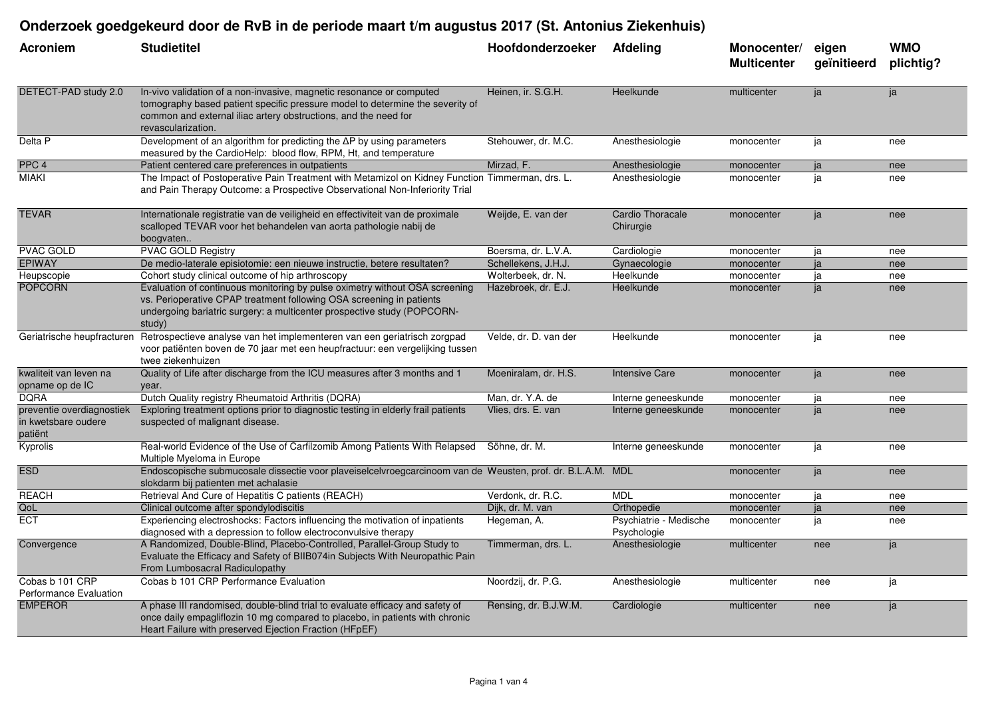## **Onderzoek goedgekeurd door de RvB in de periode maart t/m augustus 2017 (St. Antonius Ziekenhuis)**

| Acroniem                                                    | <b>Studietitel</b>                                                                                                                                                                                                                             | Hoofdonderzoeker      | <b>Afdeling</b>                       | Monocenter/<br><b>Multicenter</b> | eigen<br>geïnitieerd | <b>WMO</b><br>plichtig? |
|-------------------------------------------------------------|------------------------------------------------------------------------------------------------------------------------------------------------------------------------------------------------------------------------------------------------|-----------------------|---------------------------------------|-----------------------------------|----------------------|-------------------------|
| DETECT-PAD study 2.0                                        | In-vivo validation of a non-invasive, magnetic resonance or computed<br>tomography based patient specific pressure model to determine the severity of<br>common and external iliac artery obstructions, and the need for<br>revascularization. | Heinen, ir. S.G.H.    | Heelkunde                             | multicenter                       | ja                   | ja                      |
| Delta P                                                     | Development of an algorithm for predicting the $\Delta P$ by using parameters<br>measured by the CardioHelp: blood flow, RPM, Ht, and temperature                                                                                              | Stehouwer, dr. M.C.   | Anesthesiologie                       | monocenter                        | ja                   | nee                     |
| PPC <sub>4</sub>                                            | Patient centered care preferences in outpatients                                                                                                                                                                                               | Mirzad, F.            | Anesthesiologie                       | monocenter                        | ja                   | nee                     |
| <b>MIAKI</b>                                                | The Impact of Postoperative Pain Treatment with Metamizol on Kidney Function Timmerman, drs. L.<br>and Pain Therapy Outcome: a Prospective Observational Non-Inferiority Trial                                                                 |                       | Anesthesiologie                       | monocenter                        | ja                   | nee                     |
| <b>TEVAR</b>                                                | Internationale registratie van de veiligheid en effectiviteit van de proximale<br>scalloped TEVAR voor het behandelen van aorta pathologie nabij de<br>boogvaten                                                                               | Weijde, E. van der    | Cardio Thoracale<br>Chirurgie         | monocenter                        | ja                   | nee                     |
| <b>PVAC GOLD</b>                                            | <b>PVAC GOLD Registry</b>                                                                                                                                                                                                                      | Boersma, dr. L.V.A.   | Cardiologie                           | monocenter                        | ja                   | nee                     |
| <b>EPIWAY</b>                                               | De medio-laterale episiotomie: een nieuwe instructie, betere resultaten?                                                                                                                                                                       | Schellekens, J.H.J.   | Gynaecologie                          | monocenter                        | ja                   | nee                     |
| Heupscopie                                                  | Cohort study clinical outcome of hip arthroscopy                                                                                                                                                                                               | Wolterbeek, dr. N.    | Heelkunde                             | monocenter                        | ja                   | nee                     |
| <b>POPCORN</b>                                              | Evaluation of continuous monitoring by pulse oximetry without OSA screening<br>vs. Perioperative CPAP treatment following OSA screening in patients<br>undergoing bariatric surgery: a multicenter prospective study (POPCORN-<br>study)       | Hazebroek, dr. E.J.   | Heelkunde                             | monocenter                        | ja                   | nee                     |
| Geriatrische heupfracturen                                  | Retrospectieve analyse van het implementeren van een geriatrisch zorgpad<br>voor patiënten boven de 70 jaar met een heupfractuur: een vergelijking tussen<br>twee ziekenhuizen                                                                 | Velde, dr. D. van der | Heelkunde                             | monocenter                        | ja                   | nee                     |
| kwaliteit van leven na<br>opname op de IC                   | Quality of Life after discharge from the ICU measures after 3 months and 1<br>year.                                                                                                                                                            | Moeniralam, dr. H.S.  | <b>Intensive Care</b>                 | monocenter                        | ja                   | nee                     |
| <b>DORA</b>                                                 | Dutch Quality registry Rheumatoid Arthritis (DQRA)                                                                                                                                                                                             | Man, dr. Y.A. de      | Interne geneeskunde                   | monocenter                        | ja                   | nee                     |
| preventie overdiagnostiek<br>in kwetsbare oudere<br>patiënt | Exploring treatment options prior to diagnostic testing in elderly frail patients<br>suspected of malignant disease.                                                                                                                           | Vlies, drs. E. van    | Interne geneeskunde                   | monocenter                        | ja                   | nee                     |
| Kyprolis                                                    | Real-world Evidence of the Use of Carfilzomib Among Patients With Relapsed<br>Multiple Myeloma in Europe                                                                                                                                       | Söhne, dr. M.         | Interne geneeskunde                   | monocenter                        | ja                   | nee                     |
| <b>ESD</b>                                                  | Endoscopische submucosale dissectie voor plaveiselcelvroegcarcinoom van de Weusten, prof. dr. B.L.A.M. MDL<br>slokdarm bij patienten met achalasie                                                                                             |                       |                                       | monocenter                        | ja                   | nee                     |
| <b>REACH</b>                                                | Retrieval And Cure of Hepatitis C patients (REACH)                                                                                                                                                                                             | Verdonk, dr. R.C.     | <b>MDL</b>                            | monocenter                        | ja                   | nee                     |
| QoL                                                         | Clinical outcome after spondylodiscitis                                                                                                                                                                                                        | Dijk, dr. M. van      | Orthopedie                            | monocenter                        | ja                   | nee                     |
| <b>ECT</b>                                                  | Experiencing electroshocks: Factors influencing the motivation of inpatients<br>diagnosed with a depression to follow electroconvulsive therapy                                                                                                | Hegeman, A.           | Psychiatrie - Medische<br>Psychologie | monocenter                        | ja                   | nee                     |
| Convergence                                                 | A Randomized, Double-Blind, Placebo-Controlled, Parallel-Group Study to<br>Evaluate the Efficacy and Safety of BIIB074in Subjects With Neuropathic Pain<br>From Lumbosacral Radiculopathy                                                      | Timmerman, drs. L.    | Anesthesiologie                       | multicenter                       | nee                  | ja                      |
| Cobas b 101 CRP<br>Performance Evaluation                   | Cobas b 101 CRP Performance Evaluation                                                                                                                                                                                                         | Noordzij, dr. P.G.    | Anesthesiologie                       | multicenter                       | nee                  | ja                      |
| <b>EMPEROR</b>                                              | A phase III randomised, double-blind trial to evaluate efficacy and safety of<br>once daily empagliflozin 10 mg compared to placebo, in patients with chronic<br>Heart Failure with preserved Ejection Fraction (HFpEF)                        | Rensing, dr. B.J.W.M. | Cardiologie                           | multicenter                       | nee                  | ja                      |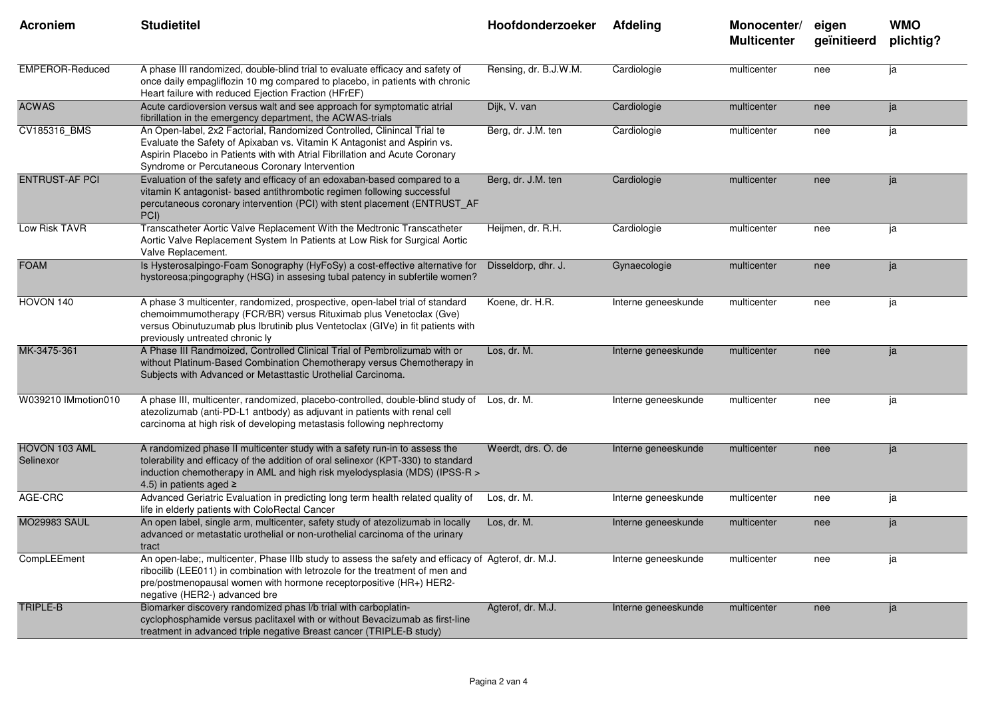| Acroniem                   | <b>Studietitel</b>                                                                                                                                                                                                                                                                          | Hoofdonderzoeker      | <b>Afdeling</b>     | Monocenter/<br><b>Multicenter</b> | eigen<br>geïnitieerd | <b>WMO</b><br>plichtig? |
|----------------------------|---------------------------------------------------------------------------------------------------------------------------------------------------------------------------------------------------------------------------------------------------------------------------------------------|-----------------------|---------------------|-----------------------------------|----------------------|-------------------------|
| <b>EMPEROR-Reduced</b>     | A phase III randomized, double-blind trial to evaluate efficacy and safety of<br>once daily empagliflozin 10 mg compared to placebo, in patients with chronic<br>Heart failure with reduced Ejection Fraction (HFrEF)                                                                       | Rensing, dr. B.J.W.M. | Cardiologie         | multicenter                       | nee                  | ja                      |
| <b>ACWAS</b>               | Acute cardioversion versus walt and see approach for symptomatic atrial<br>fibrillation in the emergency department, the ACWAS-trials                                                                                                                                                       | Dijk, V. van          | Cardiologie         | multicenter                       | nee                  | ja                      |
| CV185316_BMS               | An Open-label, 2x2 Factorial, Randomized Controlled, Clinincal Trial te<br>Evaluate the Safety of Apixaban vs. Vitamin K Antagonist and Aspirin vs.<br>Aspirin Placebo in Patients with with Atrial Fibrillation and Acute Coronary<br>Syndrome or Percutaneous Coronary Intervention       | Berg, dr. J.M. ten    | Cardiologie         | multicenter                       | nee                  | ja                      |
| <b>ENTRUST-AF PCI</b>      | Evaluation of the safety and efficacy of an edoxaban-based compared to a<br>vitamin K antagonist- based antithrombotic regimen following successful<br>percutaneous coronary intervention (PCI) with stent placement (ENTRUST_AF<br>PCI)                                                    | Berg, dr. J.M. ten    | Cardiologie         | multicenter                       | nee                  | ja                      |
| Low Risk TAVR              | Transcatheter Aortic Valve Replacement With the Medtronic Transcatheter<br>Aortic Valve Replacement System In Patients at Low Risk for Surgical Aortic<br>Valve Replacement.                                                                                                                | Heijmen, dr. R.H.     | Cardiologie         | multicenter                       | nee                  | ja                      |
| <b>FOAM</b>                | Is Hysterosalpingo-Foam Sonography (HyFoSy) a cost-effective alternative for<br>hystoreosa;pingography (HSG) in assesing tubal patency in subfertile women?                                                                                                                                 | Disseldorp, dhr. J.   | Gynaecologie        | multicenter                       | nee                  | ja                      |
| HOVON 140                  | A phase 3 multicenter, randomized, prospective, open-label trial of standard<br>chemoimmumotherapy (FCR/BR) versus Rituximab plus Venetoclax (Gve)<br>versus Obinutuzumab plus Ibrutinib plus Ventetoclax (GIVe) in fit patients with<br>previously untreated chronic ly                    | Koene, dr. H.R.       | Interne geneeskunde | multicenter                       | nee                  | ja                      |
| MK-3475-361                | A Phase III Randmoized, Controlled Clinical Trial of Pembrolizumab with or<br>without Platinum-Based Combination Chemotherapy versus Chemotherapy in<br>Subjects with Advanced or Metasttastic Urothelial Carcinoma.                                                                        | Los, dr. M.           | Interne geneeskunde | multicenter                       | nee                  | ja                      |
| W039210 IMmotion010        | A phase III, multicenter, randomized, placebo-controlled, double-blind study of Los, dr. M.<br>atezolizumab (anti-PD-L1 antbody) as adjuvant in patients with renal cell<br>carcinoma at high risk of developing metastasis following nephrectomy                                           |                       | Interne geneeskunde | multicenter                       | nee                  | ja                      |
| HOVON 103 AML<br>Selinexor | A randomized phase II multicenter study with a safety run-in to assess the<br>tolerability and efficacy of the addition of oral selinexor (KPT-330) to standard<br>induction chemotherapy in AML and high risk myelodysplasia (MDS) (IPSS-R ><br>4.5) in patients aged $\ge$                | Weerdt, drs. O. de    | Interne geneeskunde | multicenter                       | nee                  | ja                      |
| AGE-CRC                    | Advanced Geriatric Evaluation in predicting long term health related quality of<br>life in elderly patients with ColoRectal Cancer                                                                                                                                                          | Los, dr. M.           | Interne geneeskunde | multicenter                       | nee                  | ja                      |
| <b>MO29983 SAUL</b>        | An open label, single arm, multicenter, safety study of atezolizumab in locally<br>advanced or metastatic urothelial or non-urothelial carcinoma of the urinary<br>tract                                                                                                                    | Los. dr. M.           | Interne geneeskunde | multicenter                       | nee                  | ja                      |
| CompLEEment                | An open-labe;, multicenter, Phase IIIb study to assess the safety and efficacy of Agterof, dr. M.J.<br>ribocilib (LEE011) in combination with letrozole for the treatment of men and<br>pre/postmenopausal women with hormone receptorpositive (HR+) HER2-<br>negative (HER2-) advanced bre |                       | Interne geneeskunde | multicenter                       | nee                  | ja                      |
| TRIPLE-B                   | Biomarker discovery randomized phas I/b trial with carboplatin-<br>cyclophosphamide versus paclitaxel with or without Bevacizumab as first-line<br>treatment in advanced triple negative Breast cancer (TRIPLE-B study)                                                                     | Agterof, dr. M.J.     | Interne geneeskunde | multicenter                       | nee                  | ja                      |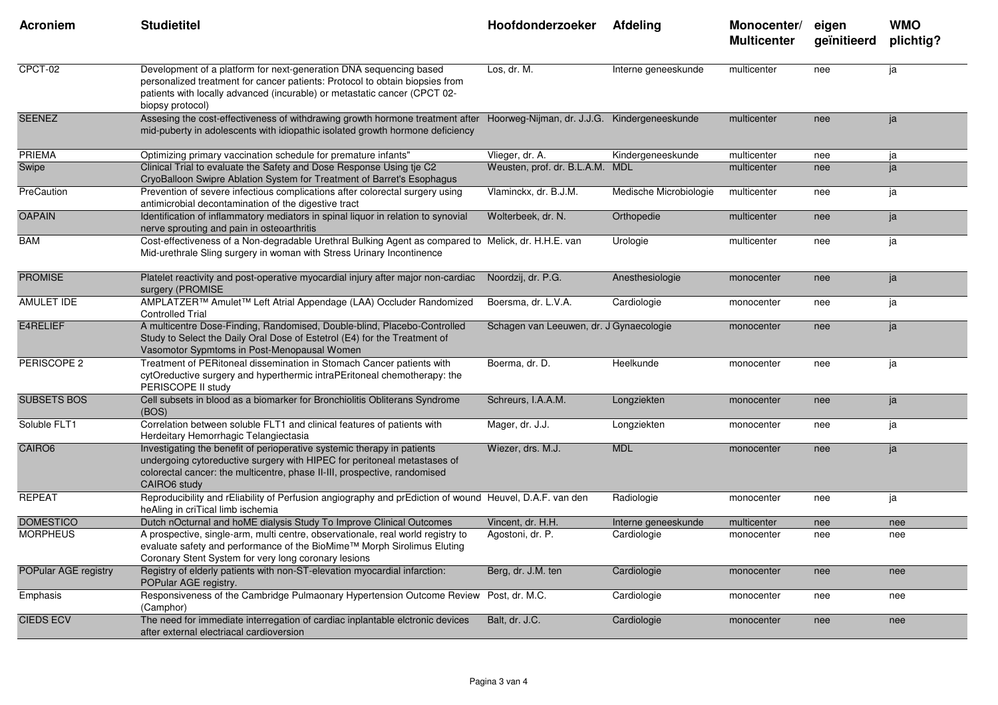| <b>Acroniem</b>      | <b>Studietitel</b>                                                                                                                                                                                                                                  | Hoofdonderzoeker                             | <b>Afdeling</b>        | Monocenter/<br><b>Multicenter</b> | eigen<br>geïnitieerd | <b>WMO</b><br>plichtig? |
|----------------------|-----------------------------------------------------------------------------------------------------------------------------------------------------------------------------------------------------------------------------------------------------|----------------------------------------------|------------------------|-----------------------------------|----------------------|-------------------------|
| CPCT-02              | Development of a platform for next-generation DNA sequencing based<br>personalized treatment for cancer patients: Protocol to obtain biopsies from<br>patients with locally advanced (incurable) or metastatic cancer (CPCT 02-<br>biopsy protocol) | Los. dr. M.                                  | Interne geneeskunde    | multicenter                       | nee                  | ja                      |
| <b>SEENEZ</b>        | Assesing the cost-effectiveness of withdrawing growth hormone treatment after<br>mid-puberty in adolescents with idiopathic isolated growth hormone deficiency                                                                                      | Hoorweg-Nijman, dr. J.J.G. Kindergeneeskunde |                        | multicenter                       | nee                  | ja                      |
| PRIEMA               | Optimizing primary vaccination schedule for premature infants"                                                                                                                                                                                      | Vlieger, dr. A.                              | Kindergeneeskunde      | multicenter                       | nee                  | ja                      |
| Swipe                | Clinical Trial to evaluate the Safety and Dose Response Using tje C2<br>CryoBalloon Swipre Ablation System for Treatment of Barret's Esophagus                                                                                                      | Weusten, prof. dr. B.L.A.M. MDL              |                        | multicenter                       | nee                  | ja                      |
| PreCaution           | Prevention of severe infectious complications after colorectal surgery using<br>antimicrobial decontamination of the digestive tract                                                                                                                | Vlaminckx, dr. B.J.M.                        | Medische Microbiologie | multicenter                       | nee                  | ja                      |
| <b>OAPAIN</b>        | Identification of inflammatory mediators in spinal liquor in relation to synovial<br>nerve sprouting and pain in osteoarthritis                                                                                                                     | Wolterbeek, dr. N.                           | Orthopedie             | multicenter                       | nee                  | ja                      |
| <b>BAM</b>           | Cost-effectiveness of a Non-degradable Urethral Bulking Agent as compared to Melick, dr. H.H.E. van<br>Mid-urethrale Sling surgery in woman with Stress Urinary Incontinence                                                                        |                                              | Urologie               | multicenter                       | nee                  | ja                      |
| <b>PROMISE</b>       | Platelet reactivity and post-operative myocardial injury after major non-cardiac<br>surgery (PROMISE                                                                                                                                                | Noordzij, dr. P.G.                           | Anesthesiologie        | monocenter                        | nee                  | ja                      |
| AMULET IDE           | AMPLATZER™ Amulet™ Left Atrial Appendage (LAA) Occluder Randomized<br><b>Controlled Trial</b>                                                                                                                                                       | Boersma, dr. L.V.A.                          | Cardiologie            | monocenter                        | nee                  | ja                      |
| E4RELIEF             | A multicentre Dose-Finding, Randomised, Double-blind, Placebo-Controlled<br>Study to Select the Daily Oral Dose of Estetrol (E4) for the Treatment of<br>Vasomotor Sypmtoms in Post-Menopausal Women                                                | Schagen van Leeuwen, dr. J Gynaecologie      |                        | monocenter                        | nee                  | ja                      |
| PERISCOPE 2          | Treatment of PERitoneal dissemination in Stomach Cancer patients with<br>cytOreductive surgery and hyperthermic intraPEritoneal chemotherapy: the<br>PERISCOPE II study                                                                             | Boerma, dr. D.                               | Heelkunde              | monocenter                        | nee                  | ja                      |
| <b>SUBSETS BOS</b>   | Cell subsets in blood as a biomarker for Bronchiolitis Obliterans Syndrome<br>(BOS)                                                                                                                                                                 | Schreurs, I.A.A.M.                           | Longziekten            | monocenter                        | nee                  | ja                      |
| Soluble FLT1         | Correlation between soluble FLT1 and clinical features of patients with<br>Herdeitary Hemorrhagic Telangiectasia                                                                                                                                    | Mager, dr. J.J.                              | Longziekten            | monocenter                        | nee                  | ja                      |
| CAIRO6               | Investigating the benefit of perioperative systemic therapy in patients<br>undergoing cytoreductive surgery with HIPEC for peritoneal metastases of<br>colorectal cancer: the multicentre, phase II-III, prospective, randomised<br>CAIRO6 study    | Wiezer, drs. M.J.                            | <b>MDL</b>             | monocenter                        | nee                  | ja                      |
| <b>REPEAT</b>        | Reproducibility and rEliability of Perfusion angiography and prEdiction of wound Heuvel, D.A.F. van den<br>heAling in criTical limb ischemia                                                                                                        |                                              | Radiologie             | monocenter                        | nee                  | ja                      |
| <b>DOMESTICO</b>     | Dutch nOcturnal and hoME dialysis Study To Improve Clinical Outcomes                                                                                                                                                                                | Vincent, dr. H.H.                            | Interne geneeskunde    | multicenter                       | nee                  | nee                     |
| <b>MORPHEUS</b>      | A prospective, single-arm, multi centre, observationale, real world registry to<br>evaluate safety and performance of the BioMime™ Morph Sirolimus Eluting<br>Coronary Stent System for very long coronary lesions                                  | Agostoni, dr. P.                             | Cardiologie            | monocenter                        | nee                  | nee                     |
| POPular AGE registry | Registry of elderly patients with non-ST-elevation myocardial infarction:<br>POPular AGE registry.                                                                                                                                                  | Berg, dr. J.M. ten                           | Cardiologie            | monocenter                        | nee                  | nee                     |
| Emphasis             | Responsiveness of the Cambridge Pulmaonary Hypertension Outcome Review Post, dr. M.C.<br>(Camphor)                                                                                                                                                  |                                              | Cardiologie            | monocenter                        | nee                  | nee                     |
| <b>CIEDS ECV</b>     | The need for immediate interregation of cardiac inplantable elctronic devices<br>after external electriacal cardioversion                                                                                                                           | Balt, dr. J.C.                               | Cardiologie            | monocenter                        | nee                  | nee                     |